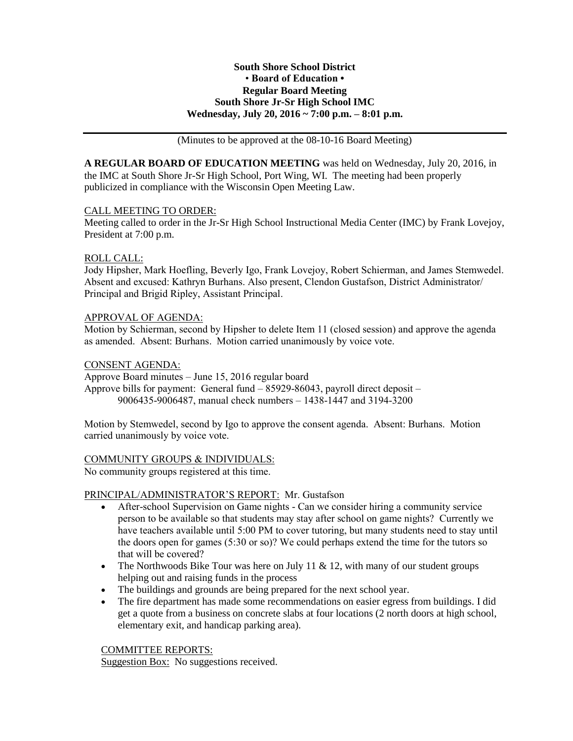### **South Shore School District** • **Board of Education • Regular Board Meeting South Shore Jr-Sr High School IMC Wednesday, July 20, 2016 ~ 7:00 p.m. – 8:01 p.m.**

(Minutes to be approved at the 08-10-16 Board Meeting)

**A REGULAR BOARD OF EDUCATION MEETING** was held on Wednesday, July 20, 2016, in the IMC at South Shore Jr-Sr High School, Port Wing, WI. The meeting had been properly publicized in compliance with the Wisconsin Open Meeting Law.

### CALL MEETING TO ORDER:

Meeting called to order in the Jr-Sr High School Instructional Media Center (IMC) by Frank Lovejoy, President at 7:00 p.m.

### ROLL CALL:

Jody Hipsher, Mark Hoefling, Beverly Igo, Frank Lovejoy, Robert Schierman, and James Stemwedel. Absent and excused: Kathryn Burhans. Also present, Clendon Gustafson, District Administrator/ Principal and Brigid Ripley, Assistant Principal.

### APPROVAL OF AGENDA:

Motion by Schierman, second by Hipsher to delete Item 11 (closed session) and approve the agenda as amended. Absent: Burhans. Motion carried unanimously by voice vote.

### CONSENT AGENDA:

Approve Board minutes – June 15, 2016 regular board Approve bills for payment: General fund – 85929-86043, payroll direct deposit – 9006435-9006487, manual check numbers – 1438-1447 and 3194-3200

Motion by Stemwedel, second by Igo to approve the consent agenda. Absent: Burhans. Motion carried unanimously by voice vote.

### COMMUNITY GROUPS & INDIVIDUALS:

No community groups registered at this time.

# PRINCIPAL/ADMINISTRATOR'S REPORT: Mr. Gustafson

- After-school Supervision on Game nights Can we consider hiring a community service person to be available so that students may stay after school on game nights? Currently we have teachers available until 5:00 PM to cover tutoring, but many students need to stay until the doors open for games (5:30 or so)? We could perhaps extend the time for the tutors so that will be covered?
- The Northwoods Bike Tour was here on July 11  $\&$  12, with many of our student groups helping out and raising funds in the process
- The buildings and grounds are being prepared for the next school year.
- The fire department has made some recommendations on easier egress from buildings. I did get a quote from a business on concrete slabs at four locations (2 north doors at high school, elementary exit, and handicap parking area).

### COMMITTEE REPORTS:

Suggestion Box: No suggestions received.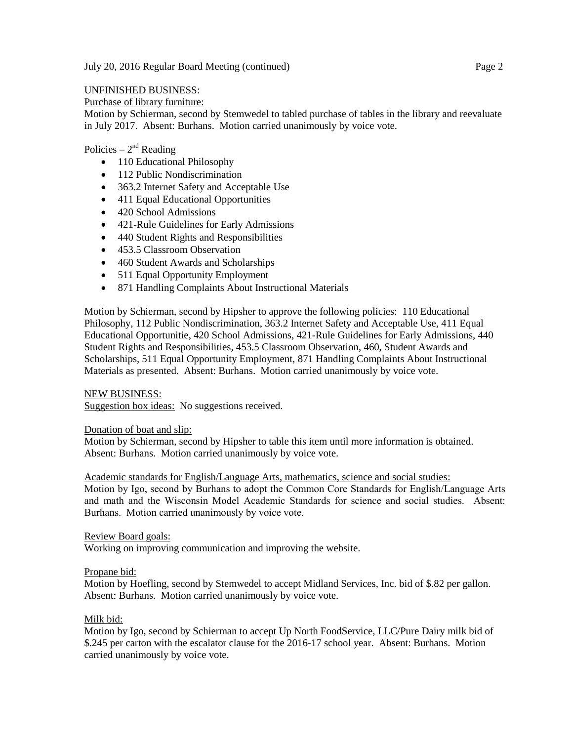## UNFINISHED BUSINESS:

Purchase of library furniture:

Motion by Schierman, second by Stemwedel to tabled purchase of tables in the library and reevaluate in July 2017. Absent: Burhans. Motion carried unanimously by voice vote.

# Policies –  $2<sup>nd</sup>$  Reading

- 110 Educational Philosophy
- 112 Public Nondiscrimination
- 363.2 Internet Safety and Acceptable Use
- 411 Equal Educational Opportunities
- 420 School Admissions
- 421-Rule Guidelines for Early Admissions
- 440 Student Rights and Responsibilities
- 453.5 Classroom Observation
- 460 Student Awards and Scholarships
- 511 Equal Opportunity Employment
- 871 Handling Complaints About Instructional Materials

Motion by Schierman, second by Hipsher to approve the following policies: 110 Educational Philosophy, 112 Public Nondiscrimination, 363.2 Internet Safety and Acceptable Use, 411 Equal Educational Opportunitie, 420 School Admissions, 421-Rule Guidelines for Early Admissions, 440 Student Rights and Responsibilities, 453.5 Classroom Observation, 460, Student Awards and Scholarships, 511 Equal Opportunity Employment, 871 Handling Complaints About Instructional Materials as presented. Absent: Burhans. Motion carried unanimously by voice vote.

### NEW BUSINESS:

Suggestion box ideas: No suggestions received.

### Donation of boat and slip:

Motion by Schierman, second by Hipsher to table this item until more information is obtained. Absent: Burhans. Motion carried unanimously by voice vote.

Academic standards for English/Language Arts, mathematics, science and social studies:

Motion by Igo, second by Burhans to adopt the Common Core Standards for English/Language Arts and math and the Wisconsin Model Academic Standards for science and social studies. Absent: Burhans. Motion carried unanimously by voice vote.

Review Board goals:

Working on improving communication and improving the website.

### Propane bid:

Motion by Hoefling, second by Stemwedel to accept Midland Services, Inc. bid of \$.82 per gallon. Absent: Burhans. Motion carried unanimously by voice vote.

# Milk bid:

Motion by Igo, second by Schierman to accept Up North FoodService, LLC/Pure Dairy milk bid of \$.245 per carton with the escalator clause for the 2016-17 school year. Absent: Burhans. Motion carried unanimously by voice vote.